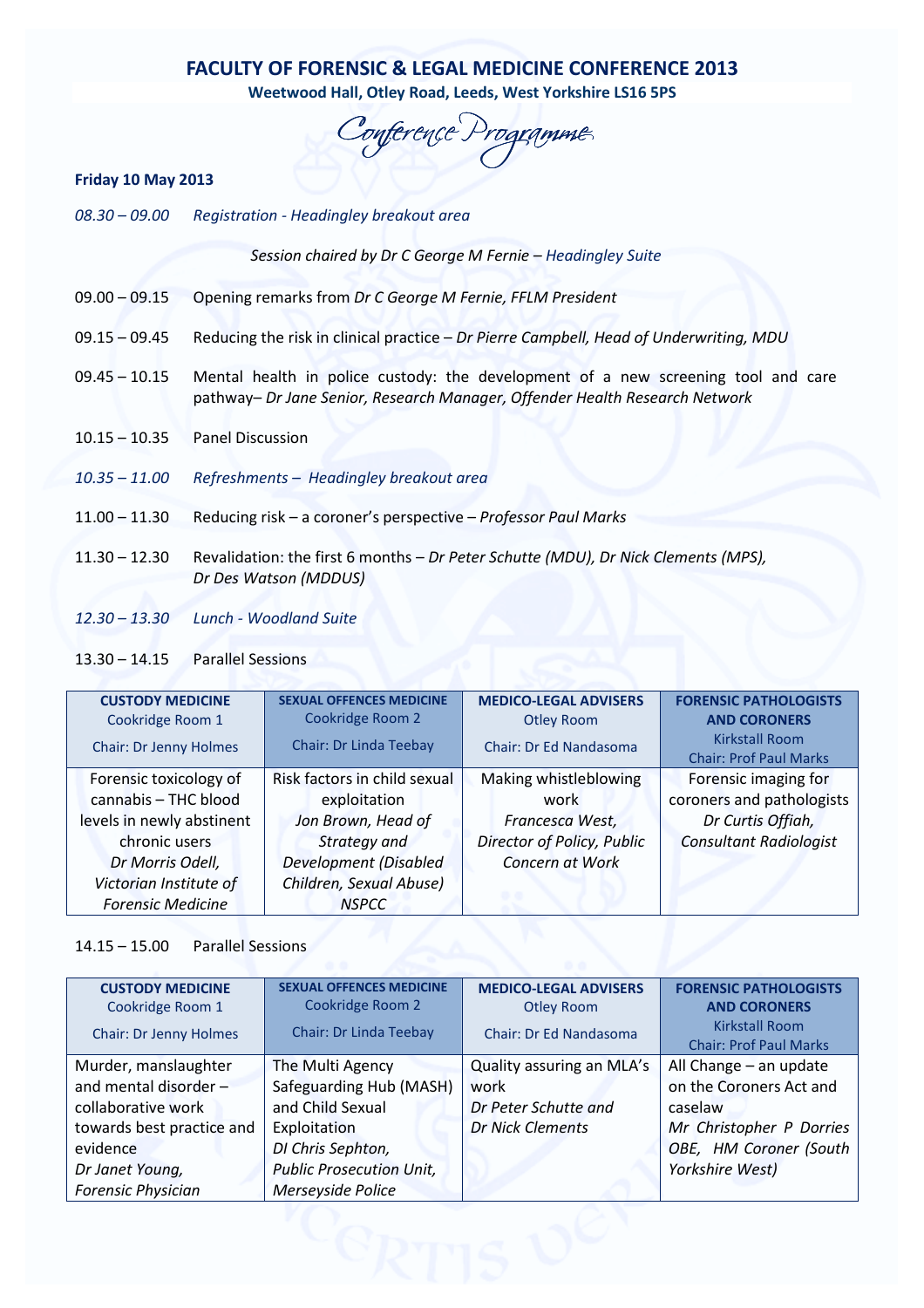# FACULTY OF FORENSIC & LEGAL MEDICINE CONFERENCE 2013

Weetwood Hall, Otley Road, Leeds, West Yorkshire LS16 5PS

Conference Programme

## Friday 10 May 2013

08.30 – 09.00 Registration - Headingley breakout area

Session chaired by Dr C George M Fernie – Headingley Suite

- 09.00 09.15 Opening remarks from Dr C George M Fernie, FFLM President
- 09.15 09.45 Reducing the risk in clinical practice Dr Pierre Campbell, Head of Underwriting, MDU
- 09.45 10.15 Mental health in police custody: the development of a new screening tool and care pathway– Dr Jane Senior, Research Manager, Offender Health Research Network
- 10.15 10.35 Panel Discussion
- 10.35 11.00 Refreshments Headingley breakout area
- 11.00 11.30 Reducing risk a coroner's perspective Professor Paul Marks
- 11.30 12.30 Revalidation: the first 6 months Dr Peter Schutte (MDU), Dr Nick Clements (MPS), Dr Des Watson (MDDUS)
- 12.30 13.30 Lunch Woodland Suite

# 13.30 – 14.15 Parallel Sessions

| <b>CUSTODY MEDICINE</b>   | <b>SEXUAL OFFENCES MEDICINE</b> | <b>MEDICO-LEGAL ADVISERS</b>  | <b>FORENSIC PATHOLOGISTS</b>  |
|---------------------------|---------------------------------|-------------------------------|-------------------------------|
| Cookridge Room 1          | Cookridge Room 2                | <b>Otley Room</b>             | <b>AND CORONERS</b>           |
| Chair: Dr Jenny Holmes    | <b>Chair: Dr Linda Teebay</b>   | <b>Chair: Dr Ed Nandasoma</b> | <b>Kirkstall Room</b>         |
|                           |                                 |                               | <b>Chair: Prof Paul Marks</b> |
| Forensic toxicology of    | Risk factors in child sexual    | Making whistleblowing         | Forensic imaging for          |
| cannabis - THC blood      | exploitation                    | work                          | coroners and pathologists     |
| levels in newly abstinent | Jon Brown, Head of              | Francesca West,               | Dr Curtis Offiah,             |
| chronic users             | Strategy and                    | Director of Policy, Public    | <b>Consultant Radiologist</b> |
| Dr Morris Odell,          | <b>Development (Disabled</b>    | Concern at Work               |                               |
| Victorian Institute of    | Children, Sexual Abuse)         |                               |                               |
| <b>Forensic Medicine</b>  | <b>NSPCC</b>                    |                               |                               |

## 14.15 – 15.00 Parallel Sessions

| <b>CUSTODY MEDICINE</b>   | <b>SEXUAL OFFENCES MEDICINE</b> | <b>MEDICO-LEGAL ADVISERS</b> | <b>FORENSIC PATHOLOGISTS</b>  |  |  |
|---------------------------|---------------------------------|------------------------------|-------------------------------|--|--|
| Cookridge Room 1          | Cookridge Room 2                | <b>Otley Room</b>            | <b>AND CORONERS</b>           |  |  |
| Chair: Dr Jenny Holmes    | Chair: Dr Linda Teebay          | Chair: Dr Ed Nandasoma       | <b>Kirkstall Room</b>         |  |  |
|                           |                                 |                              | <b>Chair: Prof Paul Marks</b> |  |  |
| Murder, manslaughter      | The Multi Agency                | Quality assuring an MLA's    | All Change $-$ an update      |  |  |
| and mental disorder $-$   | Safeguarding Hub (MASH)         | work                         | on the Coroners Act and       |  |  |
| collaborative work        | and Child Sexual                | Dr Peter Schutte and         | caselaw                       |  |  |
| towards best practice and | Exploitation                    | <b>Dr Nick Clements</b>      | Mr Christopher P Dorries      |  |  |
| evidence                  | DI Chris Sephton,               |                              | OBE, HM Coroner (South        |  |  |
| Dr Janet Young,           | <b>Public Prosecution Unit,</b> |                              | Yorkshire West)               |  |  |
| <b>Forensic Physician</b> | Merseyside Police               |                              |                               |  |  |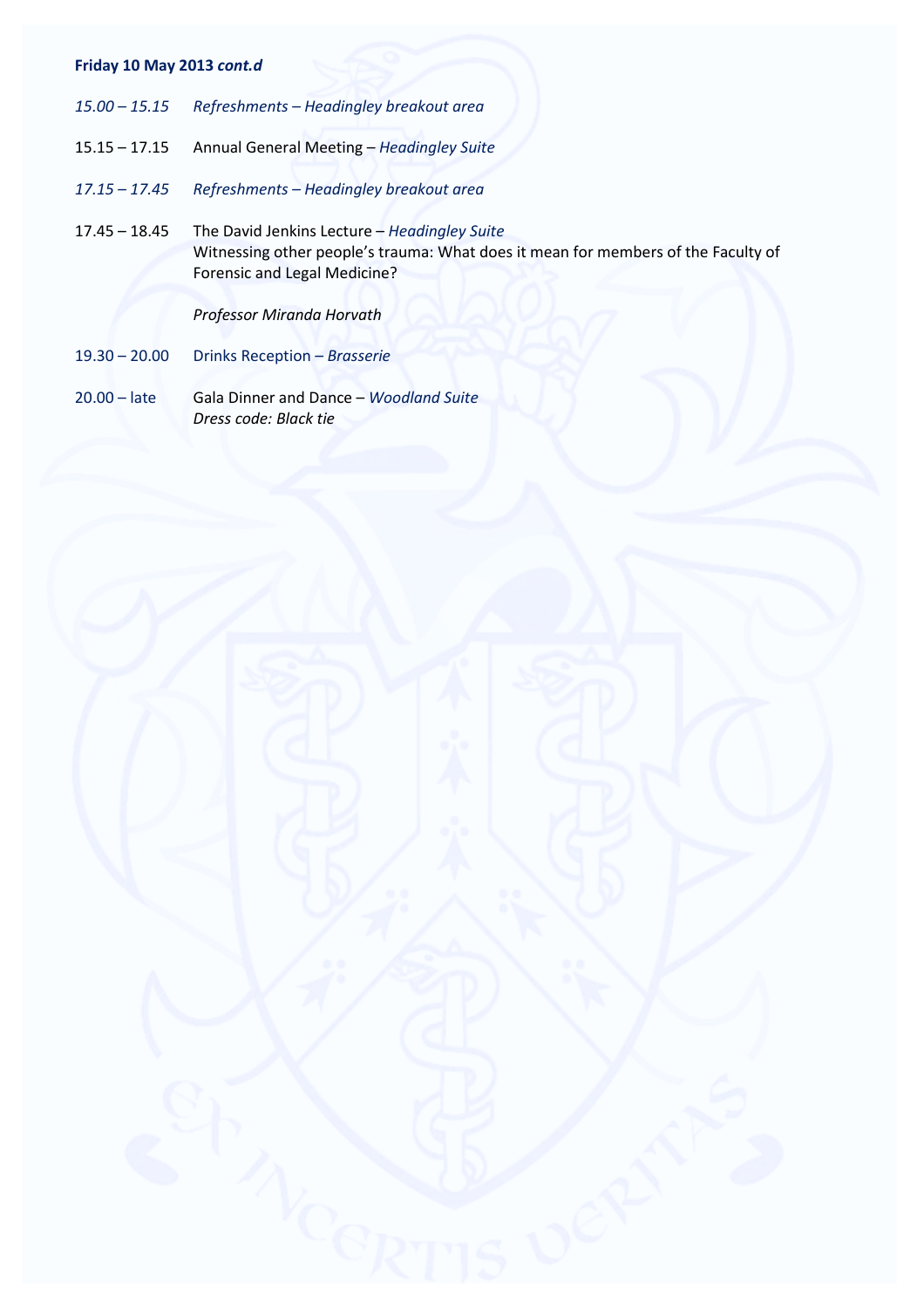# Friday 10 May 2013 cont.d

- 15.00 15.15 Refreshments Headingley breakout area
- 15.15 17.15 Annual General Meeting Headingley Suite
- 17.15 17.45 Refreshments Headingley breakout area
- 17.45 18.45 The David Jenkins Lecture Headingley Suite Witnessing other people's trauma: What does it mean for members of the Faculty of Forensic and Legal Medicine?

Professor Miranda Horvath

- 19.30 20.00 Drinks Reception Brasserie
- 20.00 late Gala Dinner and Dance Woodland Suite Dress code: Black tie